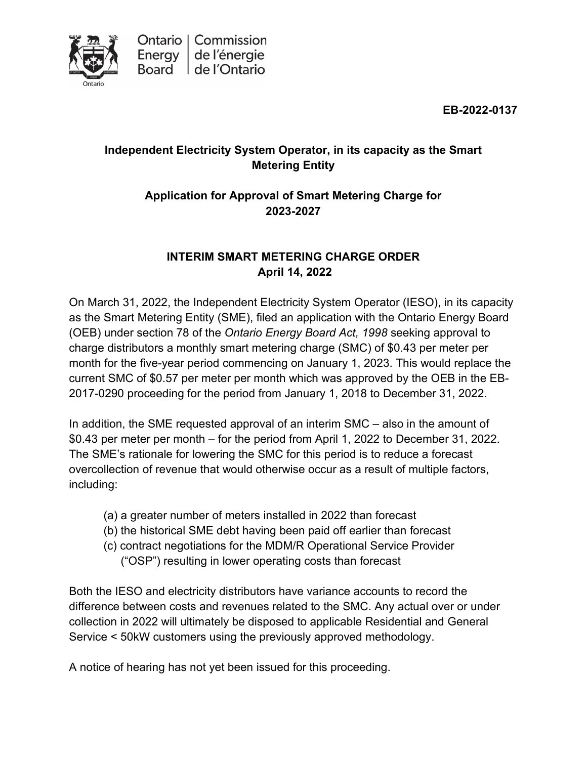

**EB-2022-0137**

## **Independent Electricity System Operator, in its capacity as the Smart Metering Entity**

## **Application for Approval of Smart Metering Charge for 2023-2027**

## **INTERIM SMART METERING CHARGE ORDER April 14, 2022**

On March 31, 2022, the Independent Electricity System Operator (IESO), in its capacity as the Smart Metering Entity (SME), filed an application with the Ontario Energy Board (OEB) under section 78 of the *Ontario Energy Board Act, 1998* seeking approval to charge distributors a monthly smart metering charge (SMC) of \$0.43 per meter per month for the five-year period commencing on January 1, 2023. This would replace the current SMC of \$0.57 per meter per month which was approved by the OEB in the EB-2017-0290 proceeding for the period from January 1, 2018 to December 31, 2022.

In addition, the SME requested approval of an interim SMC – also in the amount of \$0.43 per meter per month – for the period from April 1, 2022 to December 31, 2022. The SME's rationale for lowering the SMC for this period is to reduce a forecast overcollection of revenue that would otherwise occur as a result of multiple factors, including:

- (a) a greater number of meters installed in 2022 than forecast
- (b) the historical SME debt having been paid off earlier than forecast
- (c) contract negotiations for the MDM/R Operational Service Provider ("OSP") resulting in lower operating costs than forecast

Both the IESO and electricity distributors have variance accounts to record the difference between costs and revenues related to the SMC. Any actual over or under collection in 2022 will ultimately be disposed to applicable Residential and General Service < 50kW customers using the previously approved methodology.

A notice of hearing has not yet been issued for this proceeding.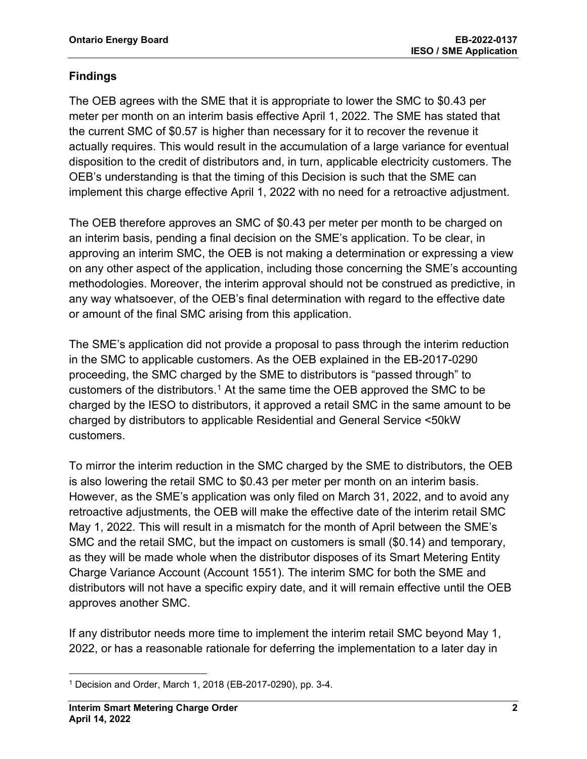### **Findings**

The OEB agrees with the SME that it is appropriate to lower the SMC to \$0.43 per meter per month on an interim basis effective April 1, 2022. The SME has stated that the current SMC of \$0.57 is higher than necessary for it to recover the revenue it actually requires. This would result in the accumulation of a large variance for eventual disposition to the credit of distributors and, in turn, applicable electricity customers. The OEB's understanding is that the timing of this Decision is such that the SME can implement this charge effective April 1, 2022 with no need for a retroactive adjustment.

The OEB therefore approves an SMC of \$0.43 per meter per month to be charged on an interim basis, pending a final decision on the SME's application. To be clear, in approving an interim SMC, the OEB is not making a determination or expressing a view on any other aspect of the application, including those concerning the SME's accounting methodologies. Moreover, the interim approval should not be construed as predictive, in any way whatsoever, of the OEB's final determination with regard to the effective date or amount of the final SMC arising from this application.

The SME's application did not provide a proposal to pass through the interim reduction in the SMC to applicable customers. As the OEB explained in the EB-2017-0290 proceeding, the SMC charged by the SME to distributors is "passed through" to customers of the distributors. [1](#page-1-0) At the same time the OEB approved the SMC to be charged by the IESO to distributors, it approved a retail SMC in the same amount to be charged by distributors to applicable Residential and General Service <50kW customers.

To mirror the interim reduction in the SMC charged by the SME to distributors, the OEB is also lowering the retail SMC to \$0.43 per meter per month on an interim basis. However, as the SME's application was only filed on March 31, 2022, and to avoid any retroactive adjustments, the OEB will make the effective date of the interim retail SMC May 1, 2022. This will result in a mismatch for the month of April between the SME's SMC and the retail SMC, but the impact on customers is small (\$0.14) and temporary, as they will be made whole when the distributor disposes of its Smart Metering Entity Charge Variance Account (Account 1551). The interim SMC for both the SME and distributors will not have a specific expiry date, and it will remain effective until the OEB approves another SMC.

If any distributor needs more time to implement the interim retail SMC beyond May 1, 2022, or has a reasonable rationale for deferring the implementation to a later day in

<span id="page-1-0"></span><sup>1</sup> Decision and Order, March 1, 2018 (EB-2017-0290), pp. 3-4.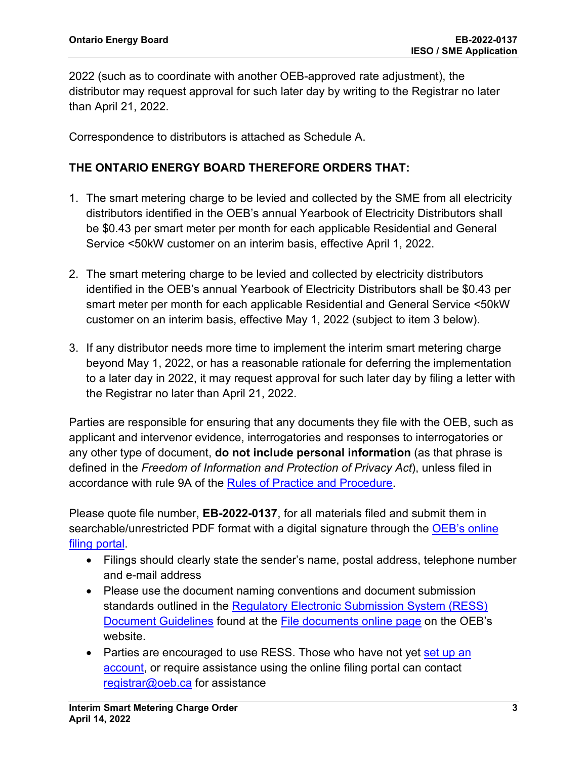2022 (such as to coordinate with another OEB-approved rate adjustment), the distributor may request approval for such later day by writing to the Registrar no later than April 21, 2022.

Correspondence to distributors is attached as Schedule A.

### **THE ONTARIO ENERGY BOARD THEREFORE ORDERS THAT:**

- 1. The smart metering charge to be levied and collected by the SME from all electricity distributors identified in the OEB's annual Yearbook of Electricity Distributors shall be \$0.43 per smart meter per month for each applicable Residential and General Service <50kW customer on an interim basis, effective April 1, 2022.
- 2. The smart metering charge to be levied and collected by electricity distributors identified in the OEB's annual Yearbook of Electricity Distributors shall be \$0.43 per smart meter per month for each applicable Residential and General Service <50kW customer on an interim basis, effective May 1, 2022 (subject to item 3 below).
- 3. If any distributor needs more time to implement the interim smart metering charge beyond May 1, 2022, or has a reasonable rationale for deferring the implementation to a later day in 2022, it may request approval for such later day by filing a letter with the Registrar no later than April 21, 2022.

Parties are responsible for ensuring that any documents they file with the OEB, such as applicant and intervenor evidence, interrogatories and responses to interrogatories or any other type of document, **do not include personal information** (as that phrase is defined in the *Freedom of Information and Protection of Privacy Act*), unless filed in accordance with rule 9A of the [Rules of Practice and Procedure.](https://www.oeb.ca/industry/rules-codes-and-requirements/rules-practice-procedure)

Please quote file number, **EB-2022-0137**, for all materials filed and submit them in searchable/unrestricted PDF format with a digital signature through the OEB's online [filing portal.](https://p-pes.ontarioenergyboard.ca/PivotalUX/)

- Filings should clearly state the sender's name, postal address, telephone number and e-mail address
- Please use the document naming conventions and document submission standards outlined in the [Regulatory Electronic Submission System \(RESS\)](https://www.oeb.ca/sites/default/files/RESS-Document-Guidelines-202006.pdf)  [Document Guidelines](https://www.oeb.ca/sites/default/files/RESS-Document-Guidelines-202006.pdf) found at the [File documents online page](https://www.oeb.ca/regulatory-rules-and-documents/file-documents-online) on the OEB's website.
- Parties are encouraged to use RESS. Those who have not yet set up an [account,](https://www.oeb.ca/oeb/_Documents/e-Filing/Electronic_User_Form.pdf?v=20200331) or require assistance using the online filing portal can contact [registrar@oeb.ca](mailto:registrar@oeb.ca) for assistance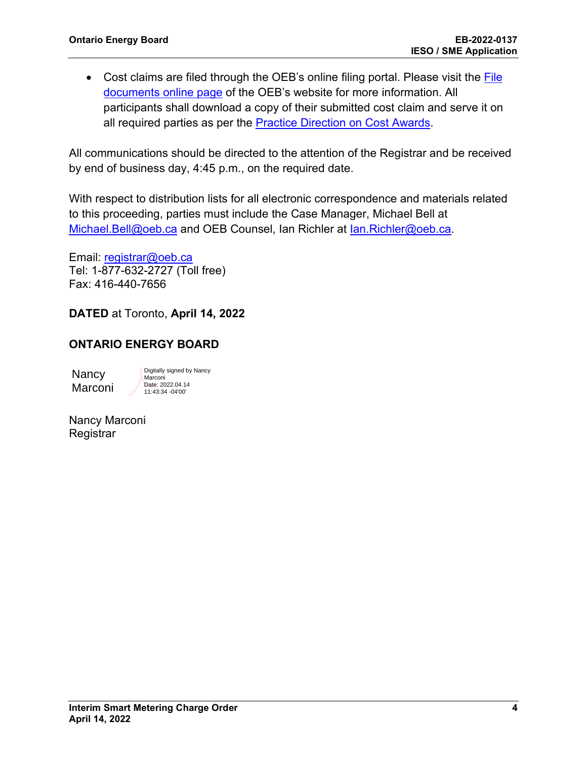• Cost claims are filed through the OEB's online filing portal. Please visit the File [documents online page](https://www.oeb.ca/regulatory-rules-and-documents/file-documents-online) of the OEB's website for more information. All participants shall download a copy of their submitted cost claim and serve it on all required parties as per the [Practice Direction on Cost Awards.](https://www.oeb.ca/regulatory-rules-and-documents/rules-codes-and-requirements/practice-direction-cost-awards)

All communications should be directed to the attention of the Registrar and be received by end of business day, 4:45 p.m., on the required date.

With respect to distribution lists for all electronic correspondence and materials related to this proceeding, parties must include the Case Manager, Michael Bell at [Michael.Bell@oeb.ca](mailto:Michael.Bell@oeb.ca) and OEB Counsel, Ian Richler at [Ian.Richler@oeb.ca.](mailto:Michael.Millar@oeb.ca)

Email: [registrar@oeb.ca](mailto:registrar@oeb.ca) Tel: 1-877-632-2727 (Toll free) Fax: 416-440-7656

**DATED** at Toronto, **April 14, 2022**

### **ONTARIO ENERGY BOARD**

Nancy Marconi

Digitally signed by Nancy Marconi Date: 2022.04.14 11:43:34 -04'00'

Nancy Marconi **Registrar**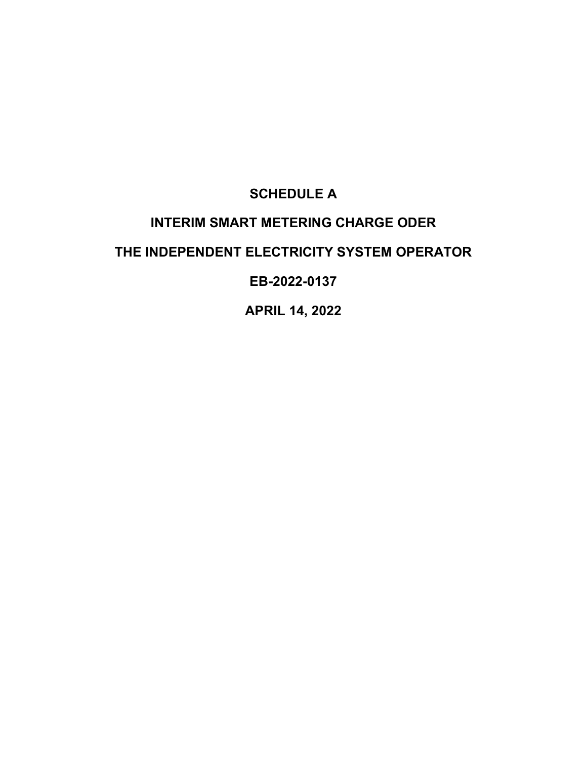# **SCHEDULE A**

# **INTERIM SMART METERING CHARGE ODER**

## **THE INDEPENDENT ELECTRICITY SYSTEM OPERATOR**

## **EB-2022-0137**

**APRIL 14, 2022**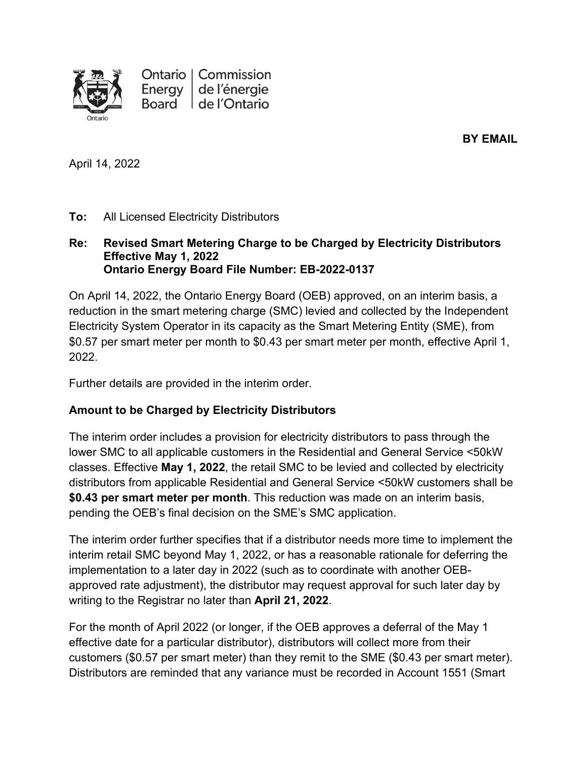

**BY EMAIL**

April 14, 2022

#### **To:** All Licensed Electricity Distributors

#### **Re: Revised Smart Metering Charge to be Charged by Electricity Distributors Effective May 1, 2022 Ontario Energy Board File Number: EB-2022-0137**

On April 14, 2022, the Ontario Energy Board (OEB) approved, on an interim basis, a reduction in the smart metering charge (SMC) levied and collected by the Independent Electricity System Operator in its capacity as the Smart Metering Entity (SME), from \$0.57 per smart meter per month to \$0.43 per smart meter per month, effective April 1, 2022.

Further details are provided in the interim order.

#### **Amount to be Charged by Electricity Distributors**

The interim order includes a provision for electricity distributors to pass through the lower SMC to all applicable customers in the Residential and General Service <50kW classes. Effective **May 1, 2022**, the retail SMC to be levied and collected by electricity distributors from applicable Residential and General Service <50kW customers shall be **\$0.43 per smart meter per month**. This reduction was made on an interim basis, pending the OEB's final decision on the SME's SMC application.

The interim order further specifies that if a distributor needs more time to implement the interim retail SMC beyond May 1, 2022, or has a reasonable rationale for deferring the implementation to a later day in 2022 (such as to coordinate with another OEBapproved rate adjustment), the distributor may request approval for such later day by writing to the Registrar no later than **April 21, 2022**.

For the month of April 2022 (or longer, if the OEB approves a deferral of the May 1 effective date for a particular distributor), distributors will collect more from their customers (\$0.57 per smart meter) than they remit to the SME (\$0.43 per smart meter). Distributors are reminded that any variance must be recorded in Account 1551 (Smart